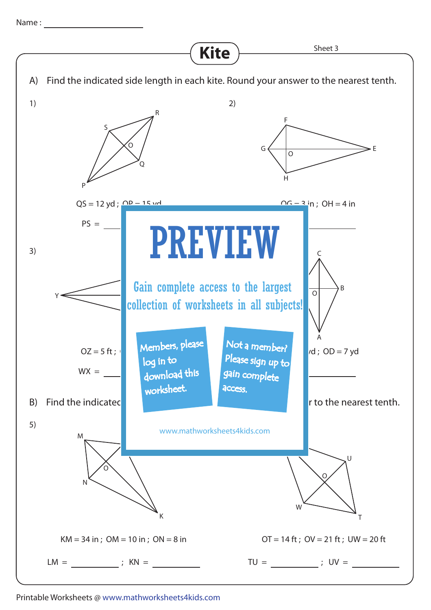Name :



Printable Worksheets @ www.mathworksheets4kids.com